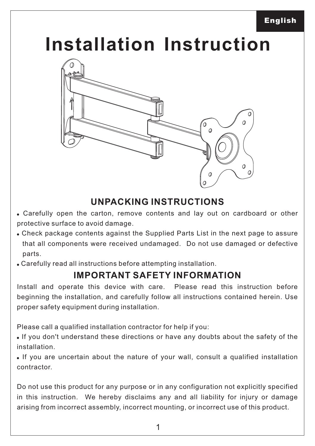# **Installation Instruction**



### **UNPACKING INSTRUCTIONS**

- ! Carefully open the carton, remove contents and lay out on cardboard or other protective surface to avoid damage.
- ! Check package contents against the Supplied Parts List in the next page to assure that all components were received undamaged. Do not use damaged or defective parts.
- ! Carefully read all instructions before attempting installation.

#### **IMPORTANT SAFETY INFORMATION**

Install and operate this device with care. Please read this instruction before beginning the installation, and carefully follow all instructions contained herein. Use proper safety equipment during installation.

Please call a qualified installation contractor for help if you:

! If you don't understand these directions or have any doubts about the safety of the installation.

! If you are uncertain about the nature of your wall, consult a qualified installation contractor.

Do not use this product for any purpose or in any configuration not explicitly specified in this instruction. We hereby disclaims any and all liability for injury or damage arising from incorrect assembly, incorrect mounting, or incorrect use of this product.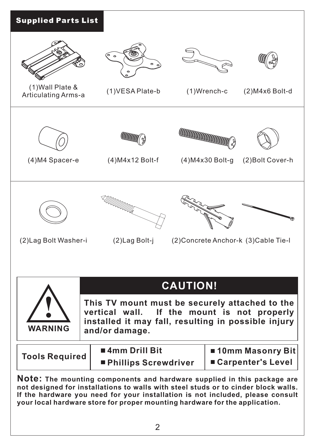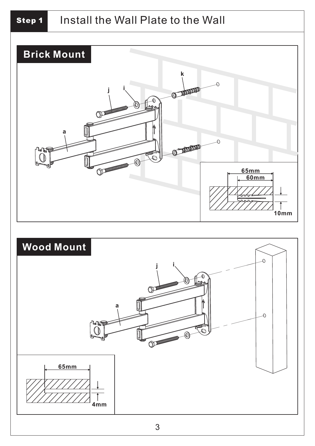## *Step 1* Install the Wall Plate to the Wall